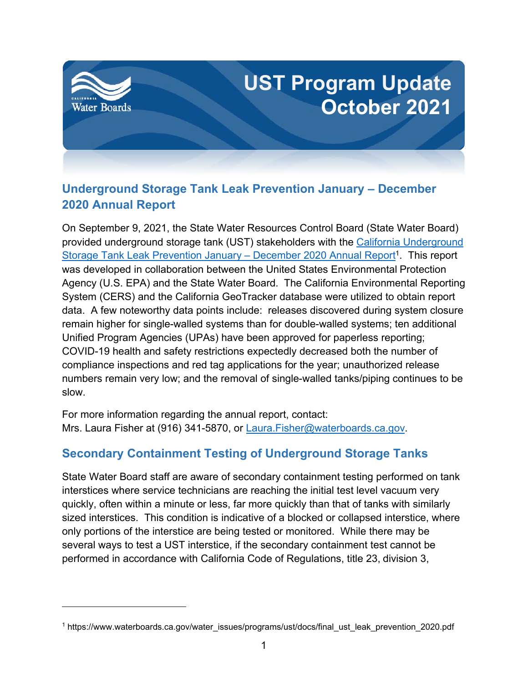

# **Underground Storage Tank Leak Prevention January – December 2020 Annual Report**

On September 9, 2021, the State Water Resources Control Board (State Water Board) provided underground storage tank (UST) stakeholders with the [California Underground](https://www.waterboards.ca.gov/water_issues/programs/ust/docs/final_ust_leak_prevention_2020.pdf)  [Storage Tank Leak Prevention January –](https://www.waterboards.ca.gov/water_issues/programs/ust/docs/final_ust_leak_prevention_2020.pdf) December 2020 Annual Report<sup>[1](#page-0-0)</sup>. This report was developed in collaboration between the United States Environmental Protection Agency (U.S. EPA) and the State Water Board. The California Environmental Reporting System (CERS) and the California GeoTracker database were utilized to obtain report data. A few noteworthy data points include: releases discovered during system closure remain higher for single-walled systems than for double-walled systems; ten additional Unified Program Agencies (UPAs) have been approved for paperless reporting; COVID-19 health and safety restrictions expectedly decreased both the number of compliance inspections and red tag applications for the year; unauthorized release numbers remain very low; and the removal of single-walled tanks/piping continues to be slow.

For more information regarding the annual report, contact: Mrs. Laura Fisher at (916) 341-5870, or [Laura.Fisher@waterboards.ca.gov.](mailto:Laura.Fisher@waterboards.ca.gov)

## **Secondary Containment Testing of Underground Storage Tanks**

State Water Board staff are aware of secondary containment testing performed on tank interstices where service technicians are reaching the initial test level vacuum very quickly, often within a minute or less, far more quickly than that of tanks with similarly sized interstices. This condition is indicative of a blocked or collapsed interstice, where only portions of the interstice are being tested or monitored. While there may be several ways to test a UST interstice, if the secondary containment test cannot be performed in accordance with California Code of Regulations, title 23, division 3,

<span id="page-0-0"></span><sup>&</sup>lt;sup>1</sup> https://www.waterboards.ca.gov/water\_issues/programs/ust/docs/final\_ust\_leak\_prevention\_2020.pdf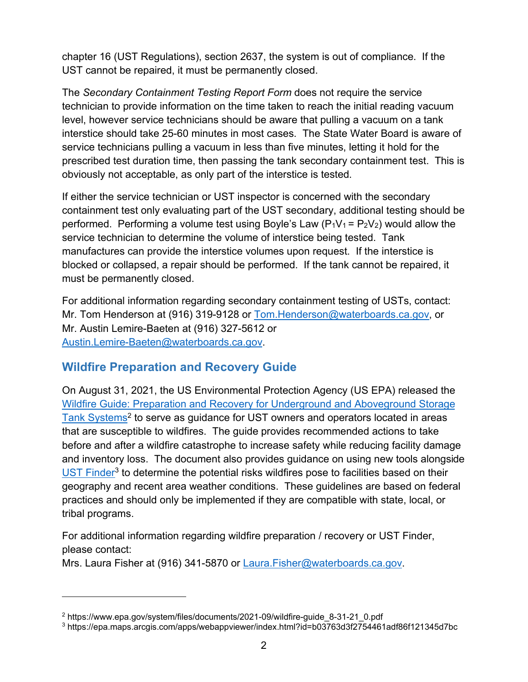chapter 16 (UST Regulations), section 2637, the system is out of compliance. If the UST cannot be repaired, it must be permanently closed.

The *Secondary Containment Testing Report Form* does not require the service technician to provide information on the time taken to reach the initial reading vacuum level, however service technicians should be aware that pulling a vacuum on a tank interstice should take 25-60 minutes in most cases. The State Water Board is aware of service technicians pulling a vacuum in less than five minutes, letting it hold for the prescribed test duration time, then passing the tank secondary containment test. This is obviously not acceptable, as only part of the interstice is tested.

If either the service technician or UST inspector is concerned with the secondary containment test only evaluating part of the UST secondary, additional testing should be performed. Performing a volume test using Boyle's Law  $(P_1V_1 = P_2V_2)$  would allow the service technician to determine the volume of interstice being tested. Tank manufactures can provide the interstice volumes upon request. If the interstice is blocked or collapsed, a repair should be performed. If the tank cannot be repaired, it must be permanently closed.

For additional information regarding secondary containment testing of USTs, contact: Mr. Tom Henderson at (916) 319-9128 or [Tom.Henderson@waterboards.ca.gov,](mailto:Tom.Henderson@waterboards.ca.gov) or Mr. Austin Lemire-Baeten at (916) 327-5612 or [Austin.Lemire-Baeten@waterboards.ca.gov](mailto:Austin.Lemire-Baeten@waterboards.ca.gov).

### **Wildfire Preparation and Recovery Guide**

On August 31, 2021, the US Environmental Protection Agency (US EPA) released the [Wildfire Guide: Preparation and Recovery for Underground and Aboveground Storage](https://www.epa.gov/system/files/documents/2021-09/wildfire-guide_8-31-21_0.pdf)  [Tank Systems](https://www.epa.gov/system/files/documents/2021-09/wildfire-guide_8-31-21_0.pdf)<sup>[2](#page-1-0)</sup> to serve as guidance for UST owners and operators located in areas that are susceptible to wildfires. The guide provides recommended actions to take before and after a wildfire catastrophe to increase safety while reducing facility damage and inventory loss. The document also provides guidance on using new tools alongside [UST Finder](https://epa.maps.arcgis.com/apps/webappviewer/index.html?id=b03763d3f2754461adf86f121345d7bc)<sup>[3](#page-1-1)</sup> to determine the potential risks wildfires pose to facilities based on their geography and recent area weather conditions. These guidelines are based on federal practices and should only be implemented if they are compatible with state, local, or tribal programs.

For additional information regarding wildfire preparation / recovery or UST Finder, please contact:

Mrs. Laura Fisher at (916) 341-5870 or [Laura.Fisher@waterboards.ca.gov](mailto:Laura.Fisher@waterboards.ca.gov).

<span id="page-1-0"></span><sup>2</sup> https://www.epa.gov/system/files/documents/2021-09/wildfire-guide\_8-31-21\_0.pdf

<span id="page-1-1"></span><sup>3</sup> https://epa.maps.arcgis.com/apps/webappviewer/index.html?id=b03763d3f2754461adf86f121345d7bc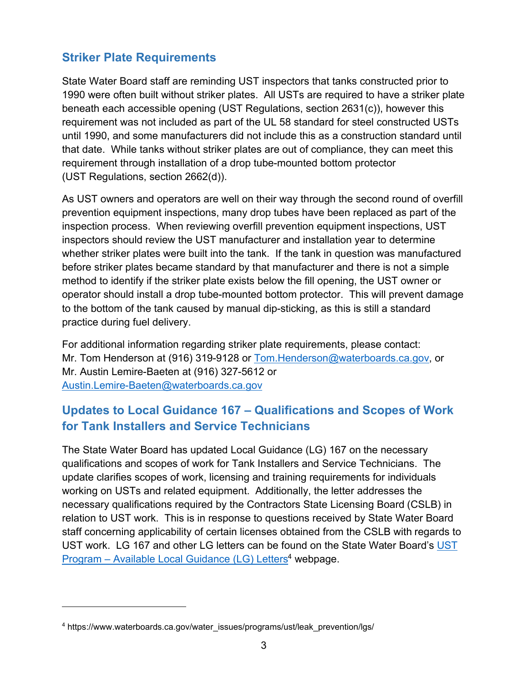## **Striker Plate Requirements**

State Water Board staff are reminding UST inspectors that tanks constructed prior to 1990 were often built without striker plates. All USTs are required to have a striker plate beneath each accessible opening (UST Regulations, section 2631(c)), however this requirement was not included as part of the UL 58 standard for steel constructed USTs until 1990, and some manufacturers did not include this as a construction standard until that date. While tanks without striker plates are out of compliance, they can meet this requirement through installation of a drop tube-mounted bottom protector (UST Regulations, section 2662(d)).

As UST owners and operators are well on their way through the second round of overfill prevention equipment inspections, many drop tubes have been replaced as part of the inspection process. When reviewing overfill prevention equipment inspections, UST inspectors should review the UST manufacturer and installation year to determine whether striker plates were built into the tank. If the tank in question was manufactured before striker plates became standard by that manufacturer and there is not a simple method to identify if the striker plate exists below the fill opening, the UST owner or operator should install a drop tube-mounted bottom protector. This will prevent damage to the bottom of the tank caused by manual dip-sticking, as this is still a standard practice during fuel delivery.

For additional information regarding striker plate requirements, please contact: Mr. Tom Henderson at (916) 319-9128 or [Tom.Henderson@waterboards.ca.gov,](mailto:Tom.Henderson@waterboards.ca.gov) or Mr. Austin Lemire-Baeten at (916) 327-5612 or [Austin.Lemire-Baeten@waterboards.ca.gov](mailto:Austin.Lemire-Baeten@waterboards.ca.gov)

## **Updates to Local Guidance 167 – Qualifications and Scopes of Work for Tank Installers and Service Technicians**

The State Water Board has updated Local Guidance (LG) 167 on the necessary qualifications and scopes of work for Tank Installers and Service Technicians. The update clarifies scopes of work, licensing and training requirements for individuals working on USTs and related equipment. Additionally, the letter addresses the necessary qualifications required by the Contractors State Licensing Board (CSLB) in relation to UST work. This is in response to questions received by State Water Board staff concerning applicability of certain licenses obtained from the CSLB with regards to UST work. LG 167 and other LG letters can be found on the State Water Board's [UST](https://www.waterboards.ca.gov/water_issues/programs/ust/leak_prevention/lgs/)  Program – [Available Local Guidance \(LG\) Letters](https://www.waterboards.ca.gov/water_issues/programs/ust/leak_prevention/lgs/)<sup>[4](#page-2-0)</sup> webpage.

<span id="page-2-0"></span><sup>&</sup>lt;sup>4</sup> https://www.waterboards.ca.gov/water\_issues/programs/ust/leak\_prevention/lgs/